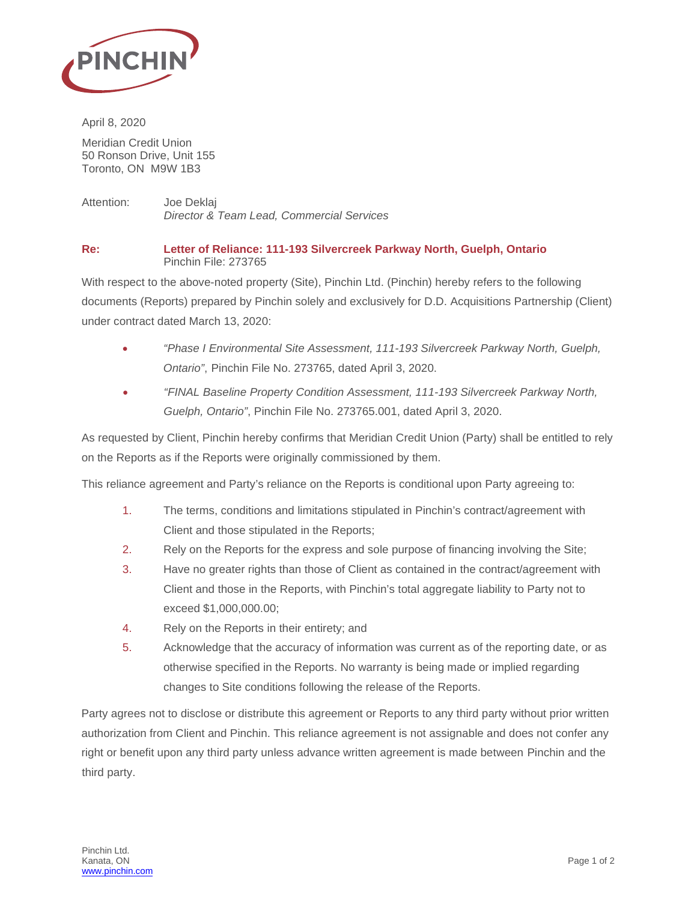

April 8, 2020

Meridian Credit Union 50 Ronson Drive, Unit 155 Toronto, ON M9W 1B3

Attention: Joe Deklaj *Director & Team Lead, Commercial Services*

## **Re: Letter of Reliance: 111-193 Silvercreek Parkway North, Guelph, Ontario** Pinchin File: 273765

With respect to the above-noted property (Site), Pinchin Ltd. (Pinchin) hereby refers to the following documents (Reports) prepared by Pinchin solely and exclusively for D.D. Acquisitions Partnership (Client) under contract dated March 13, 2020:

- *"Phase I Environmental Site Assessment, 111-193 Silvercreek Parkway North, Guelph, Ontario"*, Pinchin File No. 273765, dated April 3, 2020.
- *"FINAL Baseline Property Condition Assessment, 111-193 Silvercreek Parkway North, Guelph, Ontario"*, Pinchin File No. 273765.001, dated April 3, 2020.

As requested by Client, Pinchin hereby confirms that Meridian Credit Union (Party) shall be entitled to rely on the Reports as if the Reports were originally commissioned by them.

This reliance agreement and Party's reliance on the Reports is conditional upon Party agreeing to:

- 1. The terms, conditions and limitations stipulated in Pinchin's contract/agreement with Client and those stipulated in the Reports;
- 2. Rely on the Reports for the express and sole purpose of financing involving the Site;
- 3. Have no greater rights than those of Client as contained in the contract/agreement with Client and those in the Reports, with Pinchin's total aggregate liability to Party not to exceed \$1,000,000.00;
- 4. Rely on the Reports in their entirety; and
- 5. Acknowledge that the accuracy of information was current as of the reporting date, or as otherwise specified in the Reports. No warranty is being made or implied regarding changes to Site conditions following the release of the Reports.

Party agrees not to disclose or distribute this agreement or Reports to any third party without prior written authorization from Client and Pinchin. This reliance agreement is not assignable and does not confer any right or benefit upon any third party unless advance written agreement is made between Pinchin and the third party.